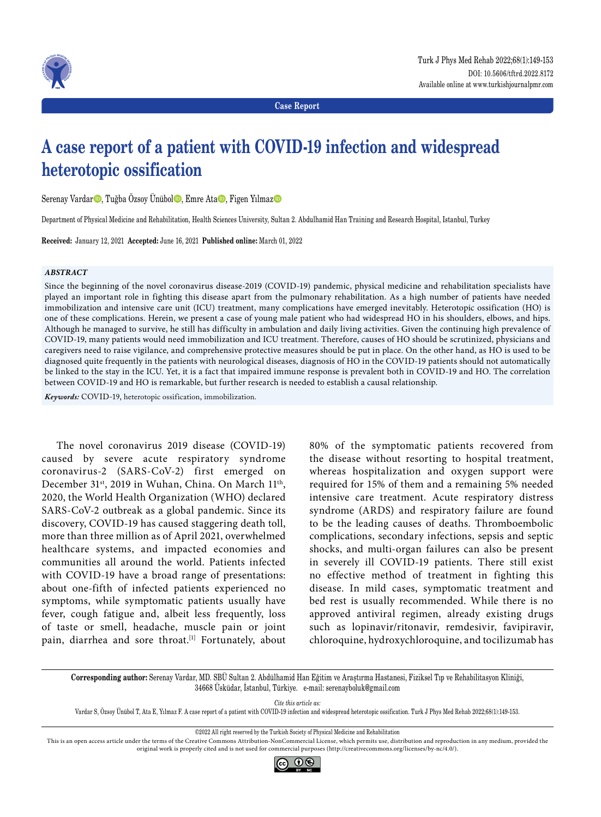

**Case Report**

# **A case report of a patient with COVID-19 infection and widespread heterotopic ossification**

Serenay Vardar<sup>o</sup>, Tuğba Özsoy Ünübol<sup>o</sup>, Emre Ata<sup>o</sup>, Figen Yılmaz<sup>o</sup>

Department of Physical Medicine and Rehabilitation, Health Sciences University, Sultan 2. Abdulhamid Han Training and Research Hospital, Istanbul, Turkey

**Received:** January 12, 2021 **Accepted:** June 16, 2021 **Published online:** March 01, 2022

#### *ABSTRACT*

Since the beginning of the novel coronavirus disease-2019 (COVID-19) pandemic, physical medicine and rehabilitation specialists have played an important role in fighting this disease apart from the pulmonary rehabilitation. As a high number of patients have needed immobilization and intensive care unit (ICU) treatment, many complications have emerged inevitably. Heterotopic ossification (HO) is one of these complications. Herein, we present a case of young male patient who had widespread HO in his shoulders, elbows, and hips. Although he managed to survive, he still has difficulty in ambulation and daily living activities. Given the continuing high prevalence of COVID-19, many patients would need immobilization and ICU treatment. Therefore, causes of HO should be scrutinized, physicians and caregivers need to raise vigilance, and comprehensive protective measures should be put in place. On the other hand, as HO is used to be diagnosed quite frequently in the patients with neurological diseases, diagnosis of HO in the COVID-19 patients should not automatically be linked to the stay in the ICU. Yet, it is a fact that impaired immune response is prevalent both in COVID-19 and HO. The correlation between COVID-19 and HO is remarkable, but further research is needed to establish a causal relationship.

*Keywords:* COVID-19, heterotopic ossification, immobilization.

The novel coronavirus 2019 disease (COVID-19) caused by severe acute respiratory syndrome coronavirus-2 (SARS-CoV-2) first emerged on December 31<sup>st</sup>, 2019 in Wuhan, China. On March 11<sup>th</sup>, 2020, the World Health Organization (WHO) declared SARS-CoV-2 outbreak as a global pandemic. Since its discovery, COVID-19 has caused staggering death toll, more than three million as of April 2021, overwhelmed healthcare systems, and impacted economies and communities all around the world. Patients infected with COVID-19 have a broad range of presentations: about one-fifth of infected patients experienced no symptoms, while symptomatic patients usually have fever, cough fatigue and, albeit less frequently, loss of taste or smell, headache, muscle pain or joint pain, diarrhea and sore throat.<sup>[1]</sup> Fortunately, about

80% of the symptomatic patients recovered from the disease without resorting to hospital treatment, whereas hospitalization and oxygen support were required for 15% of them and a remaining 5% needed intensive care treatment. Acute respiratory distress syndrome (ARDS) and respiratory failure are found to be the leading causes of deaths. Thromboembolic complications, secondary infections, sepsis and septic shocks, and multi-organ failures can also be present in severely ill COVID-19 patients. There still exist no effective method of treatment in fighting this disease. In mild cases, symptomatic treatment and bed rest is usually recommended. While there is no approved antiviral regimen, already existing drugs such as lopinavir/ritonavir, remdesivir, favipiravir, chloroquine, hydroxychloroquine, and tocilizumab has

**Corresponding author:** Serenay Vardar, MD. SBÜ Sultan 2. Abdülhamid Han Eğitim ve Araştırma Hastanesi, Fiziksel Tıp ve Rehabilitasyon Kliniği, 34668 Üsküdar, İstanbul, Türkiye. e-mail: serenayboluk@gmail.com

*Cite this article as:*

Vardar S, Özsoy Ünübol T, Ata E, Yılmaz F. A case report of a patient with COVID-19 infection and widespread heterotopic ossification. Turk J Phys Med Rehab 2022;68(1):149-153.

This is an open access article under the terms of the Creative Commons Attribution-NonCommercial License, which permits use, distribution and reproduction in any medium, provided the original work is properly cited and is not used for commercial purposes (http://creativecommons.org/licenses/by-nc/4.0/).



<sup>©2022</sup> All right reserved by the Turkish Society of Physical Medicine and Rehabilitation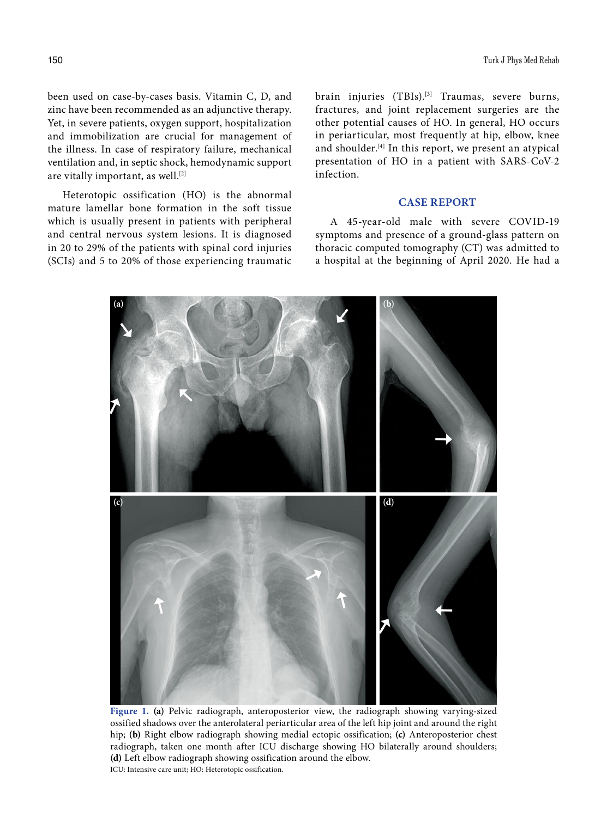been used on case-by-cases basis. Vitamin C, D, and zinc have been recommended as an adjunctive therapy. Yet, in severe patients, oxygen support, hospitalization and immobilization are crucial for management of the illness. In case of respiratory failure, mechanical ventilation and, in septic shock, hemodynamic support are vitally important, as well.<sup>[2]</sup>

Heterotopic ossification (HO) is the abnormal mature lamellar bone formation in the soft tissue which is usually present in patients with peripheral and central nervous system lesions. It is diagnosed in 20 to 29% of the patients with spinal cord injuries (SCIs) and 5 to 20% of those experiencing traumatic brain injuries (TBIs).<sup>[3]</sup> Traumas, severe burns, fractures, and joint replacement surgeries are the other potential causes of HO. In general, HO occurs in periarticular, most frequently at hip, elbow, knee and shoulder.[4] In this report, we present an atypical presentation of HO in a patient with SARS-CoV-2 infection.

### **CASE REPORT**

A 45-year-old male with severe COVID-19 symptoms and presence of a ground-glass pattern on thoracic computed tomography (CT) was admitted to a hospital at the beginning of April 2020. He had a



**Figure 1. (a)** Pelvic radiograph, anteroposterior view, the radiograph showing varying-sized ossified shadows over the anterolateral periarticular area of the left hip joint and around the right hip; **(b)** Right elbow radiograph showing medial ectopic ossification; **(c)** Anteroposterior chest radiograph, taken one month after ICU discharge showing HO bilaterally around shoulders; **(d)** Left elbow radiograph showing ossification around the elbow. ICU: Intensive care unit; HO: Heterotopic ossification.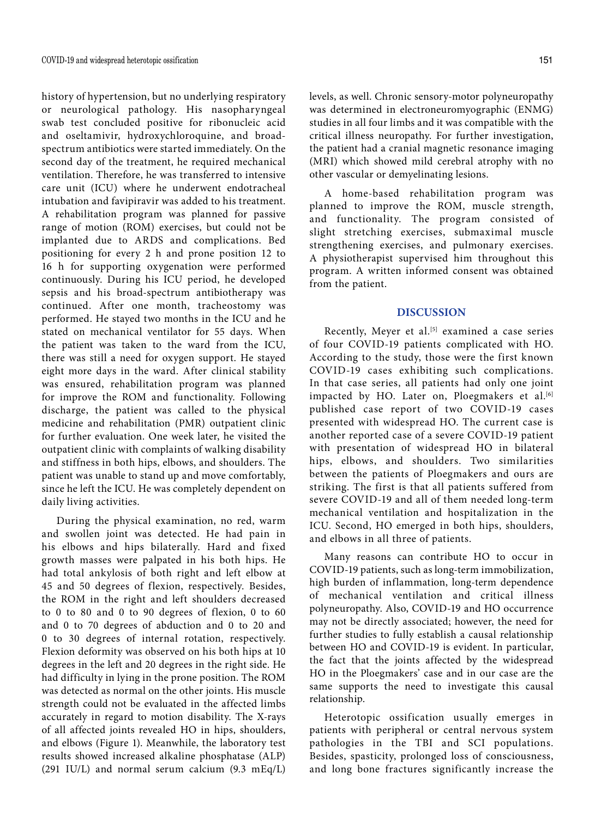history of hypertension, but no underlying respiratory or neurological pathology. His nasopharyngeal swab test concluded positive for ribonucleic acid and oseltamivir, hydroxychloroquine, and broadspectrum antibiotics were started immediately. On the second day of the treatment, he required mechanical ventilation. Therefore, he was transferred to intensive care unit (ICU) where he underwent endotracheal intubation and favipiravir was added to his treatment. A rehabilitation program was planned for passive range of motion (ROM) exercises, but could not be implanted due to ARDS and complications. Bed positioning for every 2 h and prone position 12 to 16 h for supporting oxygenation were performed continuously. During his ICU period, he developed sepsis and his broad-spectrum antibiotherapy was continued. After one month, tracheostomy was performed. He stayed two months in the ICU and he stated on mechanical ventilator for 55 days. When the patient was taken to the ward from the ICU, there was still a need for oxygen support. He stayed eight more days in the ward. After clinical stability was ensured, rehabilitation program was planned for improve the ROM and functionality. Following discharge, the patient was called to the physical medicine and rehabilitation (PMR) outpatient clinic for further evaluation. One week later, he visited the outpatient clinic with complaints of walking disability and stiffness in both hips, elbows, and shoulders. The patient was unable to stand up and move comfortably, since he left the ICU. He was completely dependent on daily living activities.

During the physical examination, no red, warm and swollen joint was detected. He had pain in his elbows and hips bilaterally. Hard and fixed growth masses were palpated in his both hips. He had total ankylosis of both right and left elbow at 45 and 50 degrees of flexion, respectively. Besides, the ROM in the right and left shoulders decreased to 0 to 80 and 0 to 90 degrees of flexion, 0 to 60 and 0 to 70 degrees of abduction and 0 to 20 and 0 to 30 degrees of internal rotation, respectively. Flexion deformity was observed on his both hips at 10 degrees in the left and 20 degrees in the right side. He had difficulty in lying in the prone position. The ROM was detected as normal on the other joints. His muscle strength could not be evaluated in the affected limbs accurately in regard to motion disability. The X-rays of all affected joints revealed HO in hips, shoulders, and elbows (Figure 1). Meanwhile, the laboratory test results showed increased alkaline phosphatase (ALP) (291 IU/L) and normal serum calcium (9.3 mEq/L) levels, as well. Chronic sensory-motor polyneuropathy was determined in electroneuromyographic (ENMG) studies in all four limbs and it was compatible with the critical illness neuropathy. For further investigation, the patient had a cranial magnetic resonance imaging (MRI) which showed mild cerebral atrophy with no other vascular or demyelinating lesions.

A home-based rehabilitation program was planned to improve the ROM, muscle strength, and functionality. The program consisted of slight stretching exercises, submaximal muscle strengthening exercises, and pulmonary exercises. A physiotherapist supervised him throughout this program. A written informed consent was obtained from the patient.

## **DISCUSSION**

Recently, Meyer et al.<sup>[5]</sup> examined a case series of four COVID-19 patients complicated with HO. According to the study, those were the first known COVID-19 cases exhibiting such complications. In that case series, all patients had only one joint impacted by HO. Later on, Ploegmakers et al.<sup>[6]</sup> published case report of two COVID-19 cases presented with widespread HO. The current case is another reported case of a severe COVID-19 patient with presentation of widespread HO in bilateral hips, elbows, and shoulders. Two similarities between the patients of Ploegmakers and ours are striking. The first is that all patients suffered from severe COVID-19 and all of them needed long-term mechanical ventilation and hospitalization in the ICU. Second, HO emerged in both hips, shoulders, and elbows in all three of patients.

Many reasons can contribute HO to occur in COVID-19 patients, such as long-term immobilization, high burden of inflammation, long-term dependence of mechanical ventilation and critical illness polyneuropathy. Also, COVID-19 and HO occurrence may not be directly associated; however, the need for further studies to fully establish a causal relationship between HO and COVID-19 is evident. In particular, the fact that the joints affected by the widespread HO in the Ploegmakers' case and in our case are the same supports the need to investigate this causal relationship.

Heterotopic ossification usually emerges in patients with peripheral or central nervous system pathologies in the TBI and SCI populations. Besides, spasticity, prolonged loss of consciousness, and long bone fractures significantly increase the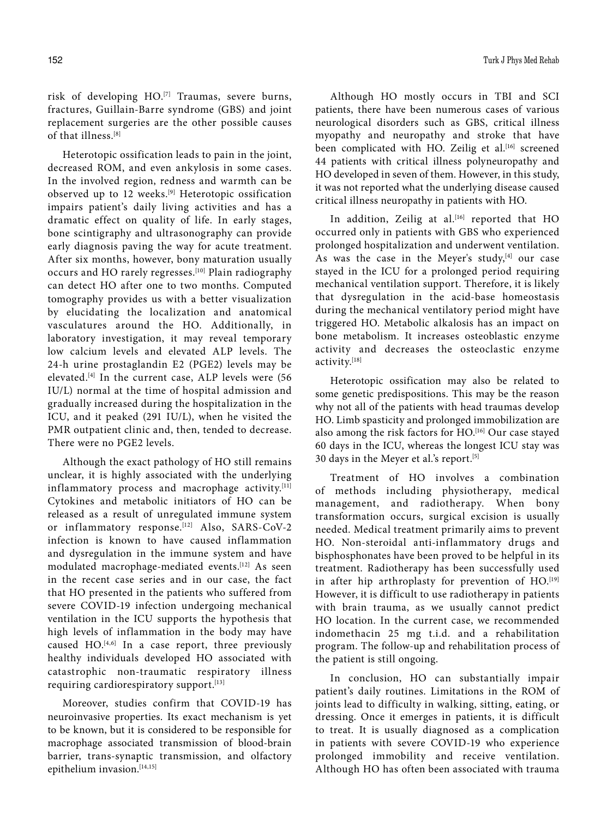risk of developing HO.[7] Traumas, severe burns, fractures, Guillain-Barre syndrome (GBS) and joint replacement surgeries are the other possible causes of that illness.[8]

Heterotopic ossification leads to pain in the joint, decreased ROM, and even ankylosis in some cases. In the involved region, redness and warmth can be observed up to 12 weeks.<sup>[9]</sup> Heterotopic ossification impairs patient's daily living activities and has a dramatic effect on quality of life. In early stages, bone scintigraphy and ultrasonography can provide early diagnosis paving the way for acute treatment. After six months, however, bony maturation usually occurs and HO rarely regresses.<sup>[10]</sup> Plain radiography can detect HO after one to two months. Computed tomography provides us with a better visualization by elucidating the localization and anatomical vasculatures around the HO. Additionally, in laboratory investigation, it may reveal temporary low calcium levels and elevated ALP levels. The 24-h urine prostaglandin E2 (PGE2) levels may be elevated.[4] In the current case, ALP levels were (56 IU/L) normal at the time of hospital admission and gradually increased during the hospitalization in the ICU, and it peaked (291 IU/L), when he visited the PMR outpatient clinic and, then, tended to decrease. There were no PGE2 levels.

Although the exact pathology of HO still remains unclear, it is highly associated with the underlying inflammatory process and macrophage activity.[11] Cytokines and metabolic initiators of HO can be released as a result of unregulated immune system or inflammatory response.<sup>[12]</sup> Also, SARS-CoV-2 infection is known to have caused inflammation and dysregulation in the immune system and have modulated macrophage-mediated events.<sup>[12]</sup> As seen in the recent case series and in our case, the fact that HO presented in the patients who suffered from severe COVID-19 infection undergoing mechanical ventilation in the ICU supports the hypothesis that high levels of inflammation in the body may have caused HO.[4,6] In a case report, three previously healthy individuals developed HO associated with catastrophic non-traumatic respiratory illness requiring cardiorespiratory support.<sup>[13]</sup>

Moreover, studies confirm that COVID-19 has neuroinvasive properties. Its exact mechanism is yet to be known, but it is considered to be responsible for macrophage associated transmission of blood-brain barrier, trans-synaptic transmission, and olfactory epithelium invasion.<sup>[14,15]</sup>

Although HO mostly occurs in TBI and SCI patients, there have been numerous cases of various neurological disorders such as GBS, critical illness myopathy and neuropathy and stroke that have been complicated with HO. Zeilig et al.<sup>[16]</sup> screened 44 patients with critical illness polyneuropathy and HO developed in seven of them. However, in this study, it was not reported what the underlying disease caused critical illness neuropathy in patients with HO.

In addition, Zeilig at al.<sup>[16]</sup> reported that HO occurred only in patients with GBS who experienced prolonged hospitalization and underwent ventilation. As was the case in the Meyer's study, $[4]$  our case stayed in the ICU for a prolonged period requiring mechanical ventilation support. Therefore, it is likely that dysregulation in the acid-base homeostasis during the mechanical ventilatory period might have triggered HO. Metabolic alkalosis has an impact on bone metabolism. It increases osteoblastic enzyme activity and decreases the osteoclastic enzyme activity.[18]

Heterotopic ossification may also be related to some genetic predispositions. This may be the reason why not all of the patients with head traumas develop HO. Limb spasticity and prolonged immobilization are also among the risk factors for HO.<sup>[16]</sup> Our case stayed 60 days in the ICU, whereas the longest ICU stay was 30 days in the Meyer et al.'s report.[5]

Treatment of HO involves a combination of methods including physiotherapy, medical management, and radiotherapy. When bony transformation occurs, surgical excision is usually needed. Medical treatment primarily aims to prevent HO. Non-steroidal anti-inflammatory drugs and bisphosphonates have been proved to be helpful in its treatment. Radiotherapy has been successfully used in after hip arthroplasty for prevention of HO.<sup>[19]</sup> However, it is difficult to use radiotherapy in patients with brain trauma, as we usually cannot predict HO location. In the current case, we recommended indomethacin 25 mg t.i.d. and a rehabilitation program. The follow-up and rehabilitation process of the patient is still ongoing.

In conclusion, HO can substantially impair patient's daily routines. Limitations in the ROM of joints lead to difficulty in walking, sitting, eating, or dressing. Once it emerges in patients, it is difficult to treat. It is usually diagnosed as a complication in patients with severe COVID-19 who experience prolonged immobility and receive ventilation. Although HO has often been associated with trauma